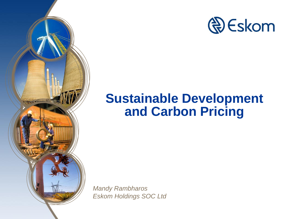

## **Sustainable Development and Carbon Pricing**

*Mandy Rambharos Eskom Holdings SOC Ltd*

Video de la Carteria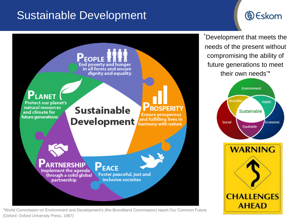### Sustainable Development

### **& Eskom**



\*World Commission on Environment and Development's (the Brundtland Commission) report Our Common Future (Oxford: Oxford University Press, 1987)

'Development that meets the needs of the present without compromising the ability of future generations to meet their own needs'\*

![](_page_1_Figure_5.jpeg)

![](_page_1_Picture_6.jpeg)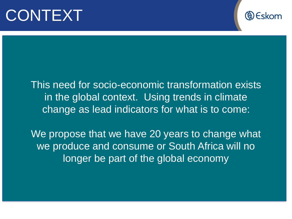# CONTEXT

![](_page_2_Picture_1.jpeg)

This need for socio-economic transformation exists in the global context. Using trends in climate change as lead indicators for what is to come:

We propose that we have 20 years to change what we produce and consume or South Africa will no longer be part of the global economy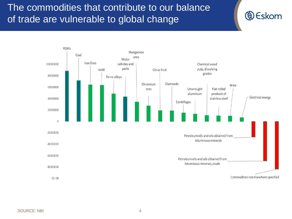### The commodities that contribute to our balance of trade are vulnerable to global change

![](_page_3_Figure_1.jpeg)

**& Eskom**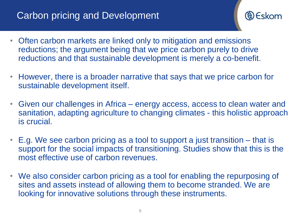### **Carbon pricing and Development**

![](_page_4_Picture_1.jpeg)

- Often carbon markets are linked only to mitigation and emissions reductions; the argument being that we price carbon purely to drive reductions and that sustainable development is merely a co-benefit.
- However, there is a broader narrative that says that we price carbon for sustainable development itself.
- Given our challenges in Africa energy access, access to clean water and sanitation, adapting agriculture to changing climates - this holistic approach is crucial.
- E.g. We see carbon pricing as a tool to support a just transition that is support for the social impacts of transitioning. Studies show that this is the most effective use of carbon revenues.
- We also consider carbon pricing as a tool for enabling the repurposing of sites and assets instead of allowing them to become stranded. We are looking for innovative solutions through these instruments.